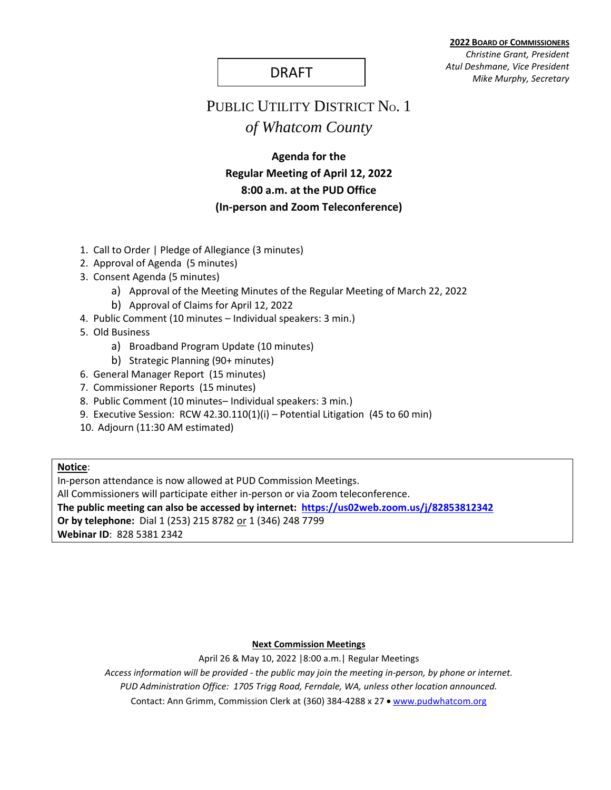**2022 BOARD OF COMMISSIONERS** *Christine Grant, President Atul Deshmane, Vice President* DRAFT *Mike Murphy, Secretary*

# PUBLIC UTILITY DISTRICT No. 1 *of Whatcom County*

# **Agenda for the Regular Meeting of April 12, 2022 8:00 a.m. at the PUD Office (In-person and Zoom Teleconference)**

- 1. Call to Order | Pledge of Allegiance (3 minutes)
- 2. Approval of Agenda (5 minutes)
- 3. Consent Agenda (5 minutes)
	- a) Approval of the Meeting Minutes of the Regular Meeting of March 22, 2022
	- b) Approval of Claims for April 12, 2022
- 4. Public Comment (10 minutes Individual speakers: 3 min.)
- 5. Old Business
	- a) Broadband Program Update (10 minutes)
	- b) Strategic Planning (90+ minutes)
- 6. General Manager Report (15 minutes)
- 7. Commissioner Reports (15 minutes)
- 8. Public Comment (10 minutes– Individual speakers: 3 min.)
- 9. Executive Session: RCW 42.30.110(1)(i) Potential Litigation (45 to 60 min)
- 10. Adjourn (11:30 AM estimated)

### **Notice**:

In-person attendance is now allowed at PUD Commission Meetings. All Commissioners will participate either in-person or via Zoom teleconference. **The public meeting can also be accessed by internet: <https://us02web.zoom.us/j/82853812342> Or by telephone:** Dial 1 (253) 215 8782 or 1 (346) 248 7799 **Webinar ID**: 828 5381 2342

#### **Next Commission Meetings**

April 26 & May 10, 2022 |8:00 a.m.| Regular Meetings

*Access information will be provided - the public may join the meeting in-person, by phone or internet.*

*PUD Administration Office: 1705 Trigg Road, Ferndale, WA, unless other location announced.*

Contact: Ann Grimm, Commission Clerk at (360) 384-4288 x 27 · [www.pudwhatcom.org](http://www.pudwhatcom.org/)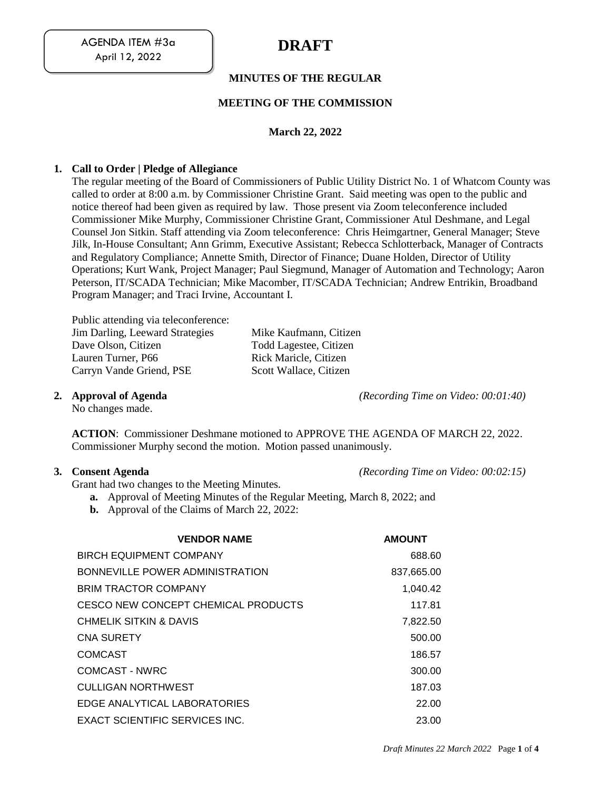# **MINUTES OF THE REGULAR**

## **MEETING OF THE COMMISSION**

## **March 22, 2022**

### **1. Call to Order | Pledge of Allegiance**

The regular meeting of the Board of Commissioners of Public Utility District No. 1 of Whatcom County was called to order at 8:00 a.m. by Commissioner Christine Grant. Said meeting was open to the public and notice thereof had been given as required by law. Those present via Zoom teleconference included Commissioner Mike Murphy, Commissioner Christine Grant, Commissioner Atul Deshmane, and Legal Counsel Jon Sitkin. Staff attending via Zoom teleconference: Chris Heimgartner, General Manager; Steve Jilk, In-House Consultant; Ann Grimm, Executive Assistant; Rebecca Schlotterback, Manager of Contracts and Regulatory Compliance; Annette Smith, Director of Finance; Duane Holden, Director of Utility Operations; Kurt Wank, Project Manager; Paul Siegmund, Manager of Automation and Technology; Aaron Peterson, IT/SCADA Technician; Mike Macomber, IT/SCADA Technician; Andrew Entrikin, Broadband Program Manager; and Traci Irvine, Accountant I.

Public attending via teleconference: Jim Darling, Leeward Strategies Mike Kaufmann, Citizen Dave Olson, Citizen Todd Lagestee, Citizen Lauren Turner, P66 Rick Maricle, Citizen<br>
Carryn Vande Griend, PSE Scott Wallace, Citizen Carryn Vande Griend, PSE

No changes made.

**2. Approval of Agenda** *(Recording Time on Video: 00:01:40)*

**ACTION**: Commissioner Deshmane motioned to APPROVE THE AGENDA OF MARCH 22, 2022. Commissioner Murphy second the motion. Motion passed unanimously.

#### **3. Consent Agenda** *(Recording Time on Video: 00:02:15)*

Grant had two changes to the Meeting Minutes.

- **a.** Approval of Meeting Minutes of the Regular Meeting, March 8, 2022; and
- **b.** Approval of the Claims of March 22, 2022:

| <b>VENDOR NAME</b>                  | <b>AMOUNT</b> |
|-------------------------------------|---------------|
| <b>BIRCH EQUIPMENT COMPANY</b>      | 688.60        |
| BONNEVILLE POWER ADMINISTRATION     | 837,665.00    |
| <b>BRIM TRACTOR COMPANY</b>         | 1.040.42      |
| CESCO NEW CONCEPT CHEMICAL PRODUCTS | 117.81        |
| CHMELIK SITKIN & DAVIS              | 7,822.50      |
| <b>CNA SURETY</b>                   | 500.00        |
| COMCAST                             | 186.57        |
| COMCAST - NWRC                      | 300.00        |
| CULLIGAN NORTHWEST                  | 187.03        |
| EDGE ANALYTICAL LABORATORIES        | 22.00         |
| EXACT SCIENTIFIC SERVICES INC.      | 23.00         |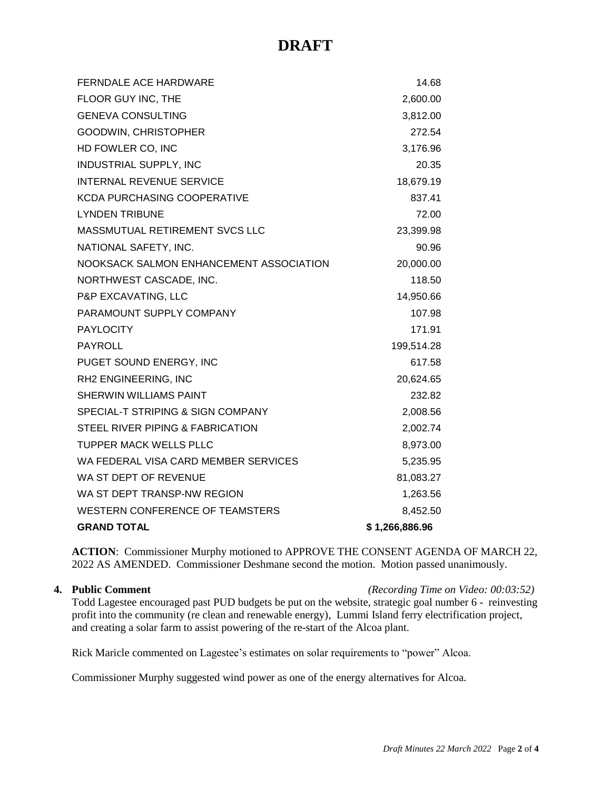| <b>FERNDALE ACE HARDWARE</b>            | 14.68          |
|-----------------------------------------|----------------|
| FLOOR GUY INC, THE                      | 2,600.00       |
| <b>GENEVA CONSULTING</b>                | 3,812.00       |
| GOODWIN, CHRISTOPHER                    | 272.54         |
| HD FOWLER CO, INC                       | 3,176.96       |
| INDUSTRIAL SUPPLY, INC                  | 20.35          |
| <b>INTERNAL REVENUE SERVICE</b>         | 18,679.19      |
| <b>KCDA PURCHASING COOPERATIVE</b>      | 837.41         |
| <b>LYNDEN TRIBUNE</b>                   | 72.00          |
| MASSMUTUAL RETIREMENT SVCS LLC          | 23,399.98      |
| NATIONAL SAFETY, INC.                   | 90.96          |
| NOOKSACK SALMON ENHANCEMENT ASSOCIATION | 20,000.00      |
| NORTHWEST CASCADE, INC.                 | 118.50         |
| P&P EXCAVATING, LLC                     | 14,950.66      |
| PARAMOUNT SUPPLY COMPANY                | 107.98         |
| <b>PAYLOCITY</b>                        | 171.91         |
| <b>PAYROLL</b>                          | 199,514.28     |
| PUGET SOUND ENERGY, INC                 | 617.58         |
| RH2 ENGINEERING, INC                    | 20,624.65      |
| SHERWIN WILLIAMS PAINT                  | 232.82         |
| SPECIAL-T STRIPING & SIGN COMPANY       | 2,008.56       |
| STEEL RIVER PIPING & FABRICATION        | 2,002.74       |
| <b>TUPPER MACK WELLS PLLC</b>           | 8,973.00       |
| WA FEDERAL VISA CARD MEMBER SERVICES    | 5,235.95       |
| WA ST DEPT OF REVENUE                   | 81,083.27      |
| WA ST DEPT TRANSP-NW REGION             | 1,263.56       |
| WESTERN CONFERENCE OF TEAMSTERS         | 8,452.50       |
| <b>GRAND TOTAL</b>                      | \$1,266,886.96 |

**ACTION**: Commissioner Murphy motioned to APPROVE THE CONSENT AGENDA OF MARCH 22, 2022 AS AMENDED. Commissioner Deshmane second the motion. Motion passed unanimously.

**4. Public Comment** *(Recording Time on Video: 00:03:52)*

Todd Lagestee encouraged past PUD budgets be put on the website, strategic goal number 6 - reinvesting profit into the community (re clean and renewable energy), Lummi Island ferry electrification project, and creating a solar farm to assist powering of the re-start of the Alcoa plant.

Rick Maricle commented on Lagestee's estimates on solar requirements to "power" Alcoa.

Commissioner Murphy suggested wind power as one of the energy alternatives for Alcoa.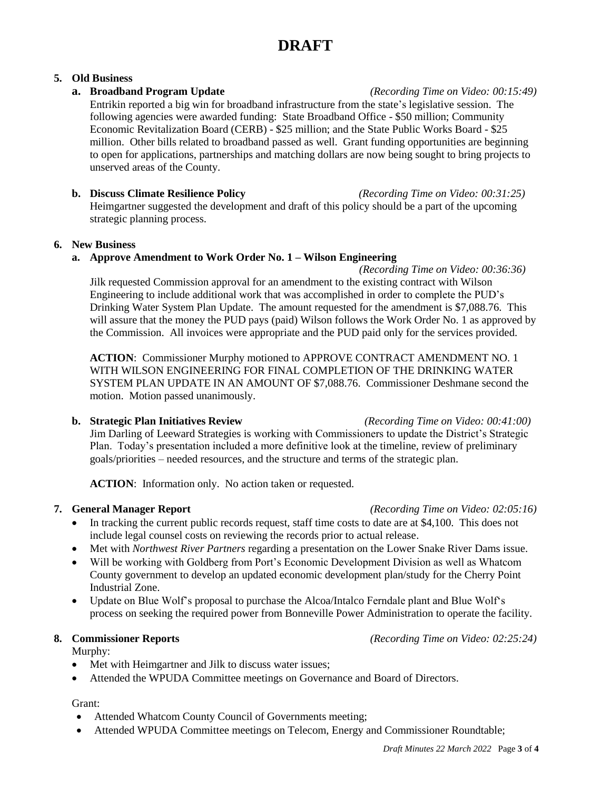## **5. Old Business**

## **a. Broadband Program Update** *(Recording Time on Video: 00:15:49)*

Entrikin reported a big win for broadband infrastructure from the state's legislative session. The following agencies were awarded funding: State Broadband Office - \$50 million; Community Economic Revitalization Board (CERB) - \$25 million; and the State Public Works Board - \$25 million. Other bills related to broadband passed as well. Grant funding opportunities are beginning to open for applications, partnerships and matching dollars are now being sought to bring projects to unserved areas of the County.

**b. Discuss Climate Resilience Policy** *(Recording Time on Video: 00:31:25)* Heimgartner suggested the development and draft of this policy should be a part of the upcoming strategic planning process.

### **6. New Business**

# **a. Approve Amendment to Work Order No. 1 – Wilson Engineering**

*(Recording Time on Video: 00:36:36)* Jilk requested Commission approval for an amendment to the existing contract with Wilson Engineering to include additional work that was accomplished in order to complete the PUD's Drinking Water System Plan Update. The amount requested for the amendment is \$7,088.76. This will assure that the money the PUD pays (paid) Wilson follows the Work Order No. 1 as approved by the Commission. All invoices were appropriate and the PUD paid only for the services provided.

**ACTION**: Commissioner Murphy motioned to APPROVE CONTRACT AMENDMENT NO. 1 WITH WILSON ENGINEERING FOR FINAL COMPLETION OF THE DRINKING WATER SYSTEM PLAN UPDATE IN AN AMOUNT OF \$7,088.76. Commissioner Deshmane second the motion. Motion passed unanimously.

# **b. Strategic Plan Initiatives Review** *(Recording Time on Video: 00:41:00)* Jim Darling of Leeward Strategies is working with Commissioners to update the District's Strategic Plan. Today's presentation included a more definitive look at the timeline, review of preliminary goals/priorities – needed resources, and the structure and terms of the strategic plan.

**ACTION**: Information only. No action taken or requested.

- In tracking the current public records request, staff time costs to date are at \$4,100. This does not include legal counsel costs on reviewing the records prior to actual release.
- Met with *Northwest River Partners* regarding a presentation on the Lower Snake River Dams issue.
- Will be working with Goldberg from Port's Economic Development Division as well as Whatcom County government to develop an updated economic development plan/study for the Cherry Point Industrial Zone.
- Update on Blue Wolf's proposal to purchase the Alcoa/Intalco Ferndale plant and Blue Wolf's process on seeking the required power from Bonneville Power Administration to operate the facility.

# **8. Commissioner Reports** *(Recording Time on Video: 02:25:24)*

Murphy:

- Met with Heimgartner and Jilk to discuss water issues;
- Attended the WPUDA Committee meetings on Governance and Board of Directors.

### Grant:

- Attended Whatcom County Council of Governments meeting;
- Attended WPUDA Committee meetings on Telecom, Energy and Commissioner Roundtable;

**7. General Manager Report** *(Recording Time on Video: 02:05:16)*